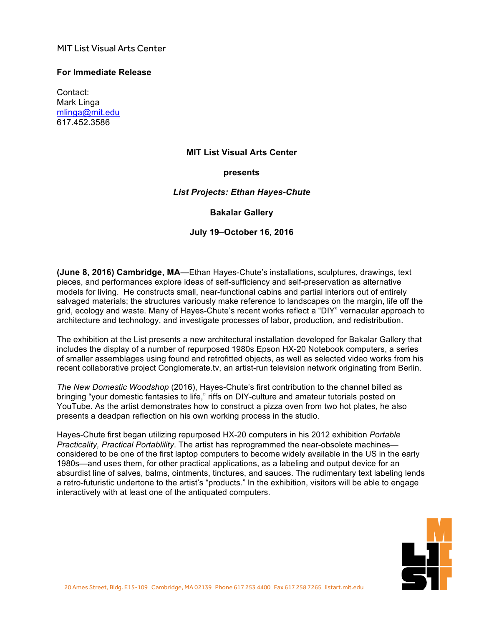# MIT List Visual Arts Center

### **For Immediate Release**

Contact: Mark Linga [mlinga@mit.edu](mailto:mlinga@mit.edu) [617.452.3586](tel:6174523586)

#### **MIT List Visual Arts Center**

### **presents**

### *List Projects: Ethan Hayes-Chute*

### **Bakalar Gallery**

### **July 19–October 16, 2016**

**(June 8, 2016) Cambridge, MA**—Ethan Hayes-Chute's installations, sculptures, drawings, text pieces, and performances explore ideas of self-sufficiency and self-preservation as alternative models for living. He constructs small, near-functional cabins and partial interiors out of entirely salvaged materials; the structures variously make reference to landscapes on the margin, life off the grid, ecology and waste. Many of Hayes-Chute's recent works reflect a "DIY" vernacular approach to architecture and technology, and investigate processes of labor, production, and redistribution.

The exhibition at the List presents a new architectural installation developed for Bakalar Gallery that includes the display of a number of repurposed 1980s Epson HX-20 Notebook computers, a series of smaller assemblages using found and retrofitted objects, as well as selected video works from his recent collaborative project Conglomerate.tv, an artist-run television network originating from Berlin.

*The New Domestic Woodshop* (2016), Hayes-Chute's first contribution to the channel billed as bringing "your domestic fantasies to life," riffs on DIY-culture and amateur tutorials posted on YouTube. As the artist demonstrates how to construct a pizza oven from two hot plates, he also presents a deadpan reflection on his own working process in the studio.

Hayes-Chute first began utilizing repurposed HX-20 computers in his 2012 exhibition *Portable Practicality, Practical Portablility*. The artist has reprogrammed the near-obsolete machines considered to be one of the first laptop computers to become widely available in the US in the early 1980s—and uses them, for other practical applications, as a labeling and output device for an absurdist line of salves, balms, ointments, tinctures, and sauces. The rudimentary text labeling lends a retro-futuristic undertone to the artist's "products." In the exhibition, visitors will be able to engage interactively with at least one of the antiquated computers.